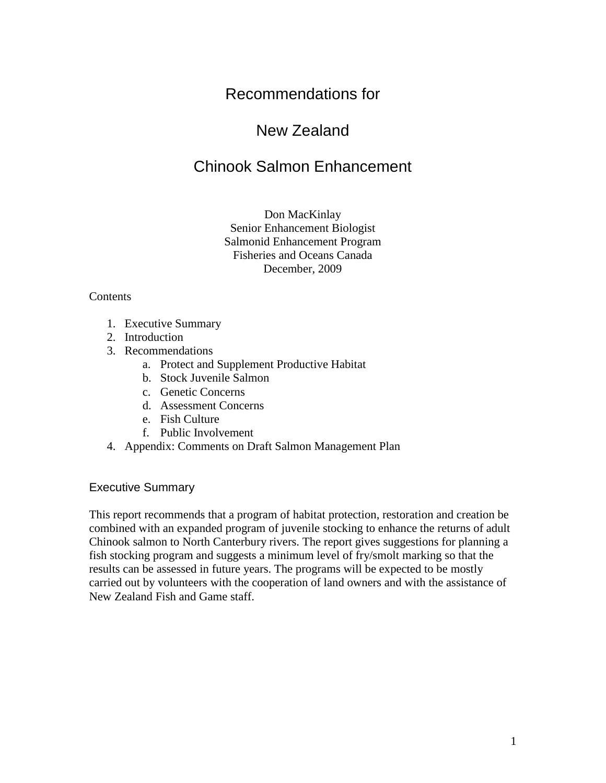# Recommendations for

# New Zealand

# Chinook Salmon Enhancement

# Don MacKinlay Senior Enhancement Biologist Salmonid Enhancement Program Fisheries and Oceans Canada December, 2009

#### **Contents**

- 1. Executive Summary
- 2. Introduction
- 3. Recommendations
	- a. Protect and Supplement Productive Habitat
	- b. Stock Juvenile Salmon
	- c. Genetic Concerns
	- d. Assessment Concerns
	- e. Fish Culture
	- f. Public Involvement
- 4. Appendix: Comments on Draft Salmon Management Plan

#### Executive Summary

This report recommends that a program of habitat protection, restoration and creation be combined with an expanded program of juvenile stocking to enhance the returns of adult Chinook salmon to North Canterbury rivers. The report gives suggestions for planning a fish stocking program and suggests a minimum level of fry/smolt marking so that the results can be assessed in future years. The programs will be expected to be mostly carried out by volunteers with the cooperation of land owners and with the assistance of New Zealand Fish and Game staff.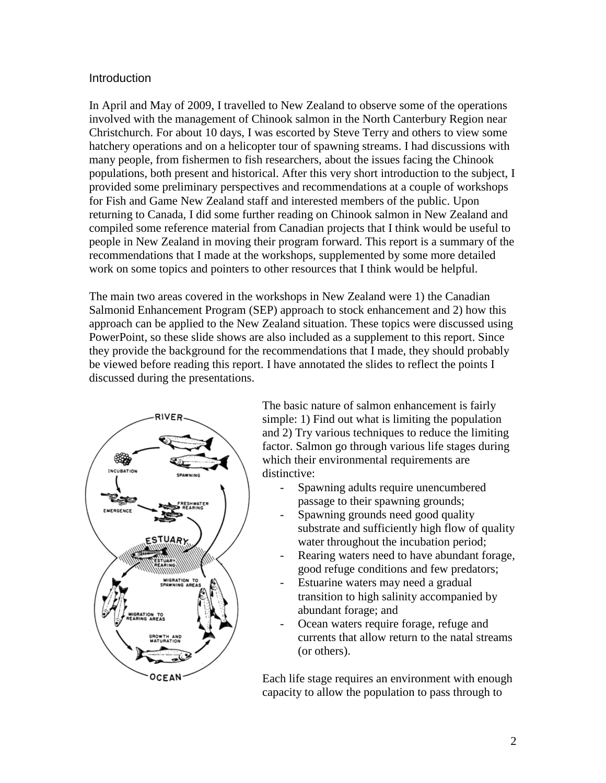## **Introduction**

In April and May of 2009, I travelled to New Zealand to observe some of the operations involved with the management of Chinook salmon in the North Canterbury Region near Christchurch. For about 10 days, I was escorted by Steve Terry and others to view some hatchery operations and on a helicopter tour of spawning streams. I had discussions with many people, from fishermen to fish researchers, about the issues facing the Chinook populations, both present and historical. After this very short introduction to the subject, I provided some preliminary perspectives and recommendations at a couple of workshops for Fish and Game New Zealand staff and interested members of the public. Upon returning to Canada, I did some further reading on Chinook salmon in New Zealand and compiled some reference material from Canadian projects that I think would be useful to people in New Zealand in moving their program forward. This report is a summary of the recommendations that I made at the workshops, supplemented by some more detailed work on some topics and pointers to other resources that I think would be helpful.

The main two areas covered in the workshops in New Zealand were 1) the Canadian Salmonid Enhancement Program (SEP) approach to stock enhancement and 2) how this approach can be applied to the New Zealand situation. These topics were discussed using PowerPoint, so these slide shows are also included as a supplement to this report. Since they provide the background for the recommendations that I made, they should probably be viewed before reading this report. I have annotated the slides to reflect the points I discussed during the presentations.



The basic nature of salmon enhancement is fairly simple: 1) Find out what is limiting the population and 2) Try various techniques to reduce the limiting factor. Salmon go through various life stages during which their environmental requirements are distinctive:

- Spawning adults require unencumbered passage to their spawning grounds;
- Spawning grounds need good quality substrate and sufficiently high flow of quality water throughout the incubation period;
- Rearing waters need to have abundant forage, good refuge conditions and few predators;
- Estuarine waters may need a gradual transition to high salinity accompanied by abundant forage; and
- Ocean waters require forage, refuge and currents that allow return to the natal streams (or others).

Each life stage requires an environment with enough capacity to allow the population to pass through to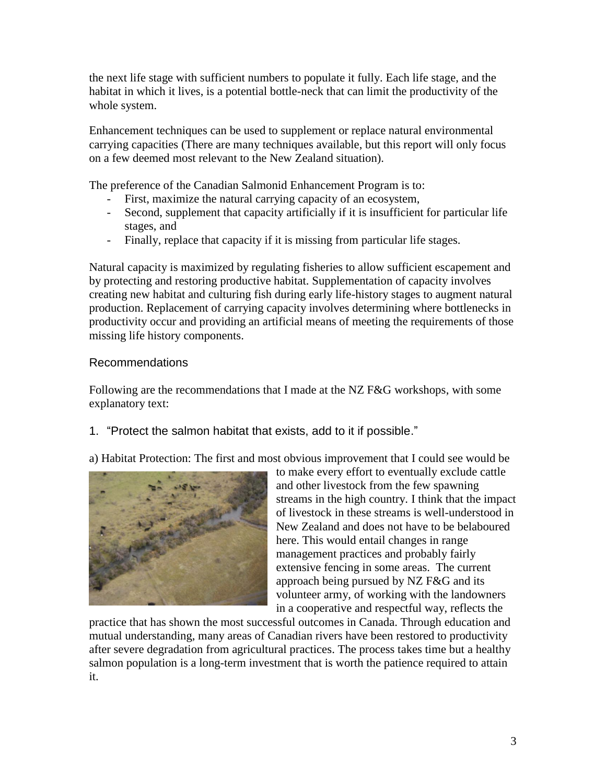the next life stage with sufficient numbers to populate it fully. Each life stage, and the habitat in which it lives, is a potential bottle-neck that can limit the productivity of the whole system.

Enhancement techniques can be used to supplement or replace natural environmental carrying capacities (There are many techniques available, but this report will only focus on a few deemed most relevant to the New Zealand situation).

The preference of the Canadian Salmonid Enhancement Program is to:

- First, maximize the natural carrying capacity of an ecosystem,
- Second, supplement that capacity artificially if it is insufficient for particular life stages, and
- Finally, replace that capacity if it is missing from particular life stages.

Natural capacity is maximized by regulating fisheries to allow sufficient escapement and by protecting and restoring productive habitat. Supplementation of capacity involves creating new habitat and culturing fish during early life-history stages to augment natural production. Replacement of carrying capacity involves determining where bottlenecks in productivity occur and providing an artificial means of meeting the requirements of those missing life history components.

# Recommendations

Following are the recommendations that I made at the NZ F&G workshops, with some explanatory text:

1. "Protect the salmon habitat that exists, add to it if possible."

a) Habitat Protection: The first and most obvious improvement that I could see would be



to make every effort to eventually exclude cattle and other livestock from the few spawning streams in the high country. I think that the impact of livestock in these streams is well-understood in New Zealand and does not have to be belaboured here. This would entail changes in range management practices and probably fairly extensive fencing in some areas. The current approach being pursued by NZ F&G and its volunteer army, of working with the landowners in a cooperative and respectful way, reflects the

practice that has shown the most successful outcomes in Canada. Through education and mutual understanding, many areas of Canadian rivers have been restored to productivity after severe degradation from agricultural practices. The process takes time but a healthy salmon population is a long-term investment that is worth the patience required to attain it.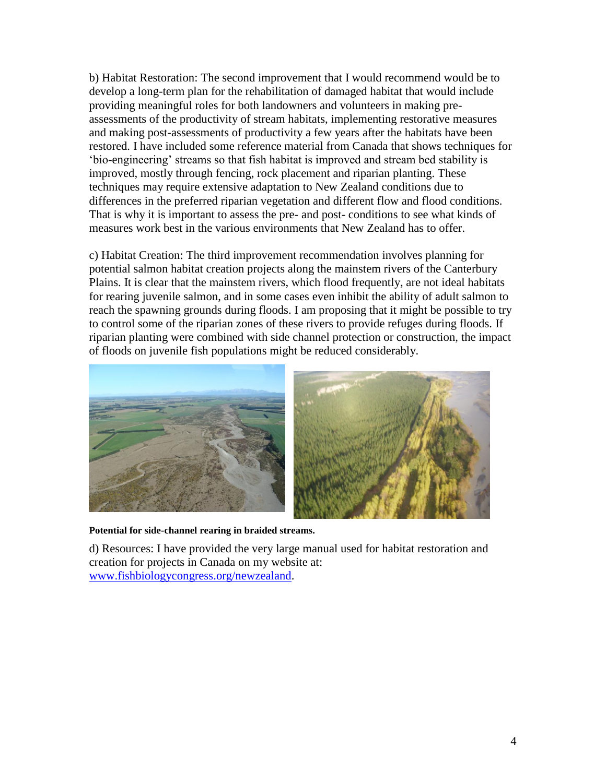b) Habitat Restoration: The second improvement that I would recommend would be to develop a long-term plan for the rehabilitation of damaged habitat that would include providing meaningful roles for both landowners and volunteers in making preassessments of the productivity of stream habitats, implementing restorative measures and making post-assessments of productivity a few years after the habitats have been restored. I have included some reference material from Canada that shows techniques for 'bio-engineering' streams so that fish habitat is improved and stream bed stability is improved, mostly through fencing, rock placement and riparian planting. These techniques may require extensive adaptation to New Zealand conditions due to differences in the preferred riparian vegetation and different flow and flood conditions. That is why it is important to assess the pre- and post- conditions to see what kinds of measures work best in the various environments that New Zealand has to offer.

c) Habitat Creation: The third improvement recommendation involves planning for potential salmon habitat creation projects along the mainstem rivers of the Canterbury Plains. It is clear that the mainstem rivers, which flood frequently, are not ideal habitats for rearing juvenile salmon, and in some cases even inhibit the ability of adult salmon to reach the spawning grounds during floods. I am proposing that it might be possible to try to control some of the riparian zones of these rivers to provide refuges during floods. If riparian planting were combined with side channel protection or construction, the impact of floods on juvenile fish populations might be reduced considerably.



**Potential for side-channel rearing in braided streams.**

d) Resources: I have provided the very large manual used for habitat restoration and creation for projects in Canada on my website at: [www.fishbiologycongress.org/newzealand.](http://www.fishbiologycongress.org/nz)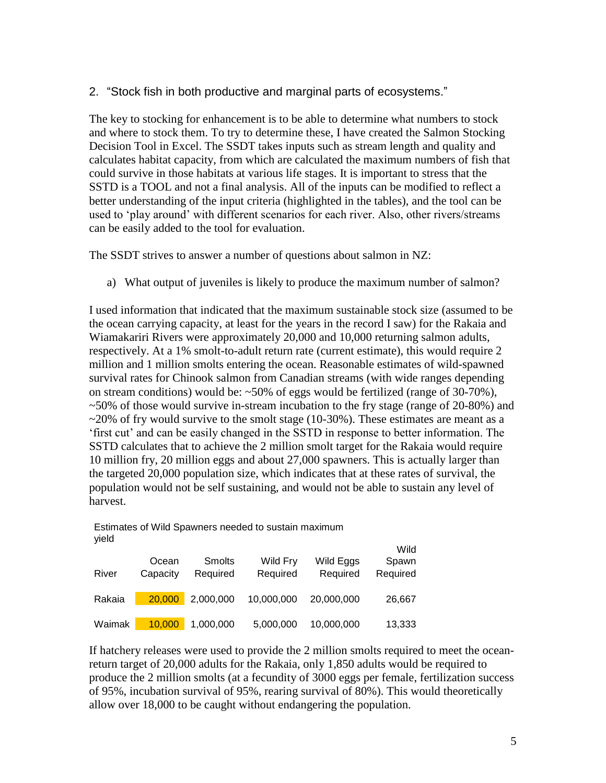2. "Stock fish in both productive and marginal parts of ecosystems."

The key to stocking for enhancement is to be able to determine what numbers to stock and where to stock them. To try to determine these, I have created the Salmon Stocking Decision Tool in Excel. The SSDT takes inputs such as stream length and quality and calculates habitat capacity, from which are calculated the maximum numbers of fish that could survive in those habitats at various life stages. It is important to stress that the SSTD is a TOOL and not a final analysis. All of the inputs can be modified to reflect a better understanding of the input criteria (highlighted in the tables), and the tool can be used to 'play around' with different scenarios for each river. Also, other rivers/streams can be easily added to the tool for evaluation.

The SSDT strives to answer a number of questions about salmon in NZ:

a) What output of juveniles is likely to produce the maximum number of salmon?

I used information that indicated that the maximum sustainable stock size (assumed to be the ocean carrying capacity, at least for the years in the record I saw) for the Rakaia and Wiamakariri Rivers were approximately 20,000 and 10,000 returning salmon adults, respectively. At a 1% smolt-to-adult return rate (current estimate), this would require 2 million and 1 million smolts entering the ocean. Reasonable estimates of wild-spawned survival rates for Chinook salmon from Canadian streams (with wide ranges depending on stream conditions) would be: ~50% of eggs would be fertilized (range of 30-70%), ~50% of those would survive in-stream incubation to the fry stage (range of 20-80%) and  $\sim$ 20% of fry would survive to the smolt stage (10-30%). These estimates are meant as a 'first cut' and can be easily changed in the SSTD in response to better information. The SSTD calculates that to achieve the 2 million smolt target for the Rakaia would require 10 million fry, 20 million eggs and about 27,000 spawners. This is actually larger than the targeted 20,000 population size, which indicates that at these rates of survival, the population would not be self sustaining, and would not be able to sustain any level of harvest.

Estimates of Wild Spawners needed to sustain maximum yield

| River  | Ocean<br>Capacity | <b>Smolts</b><br>Required | Wild Fry<br>Required | Wild Eggs<br>Required | Wild<br>Spawn<br>Required |
|--------|-------------------|---------------------------|----------------------|-----------------------|---------------------------|
| Rakaia | 20,000            | 2,000,000                 | 10,000,000           | 20,000,000            | 26,667                    |
| Waimak | 10,000            | 1,000,000                 | 5,000,000            | 10,000,000            | 13,333                    |

If hatchery releases were used to provide the 2 million smolts required to meet the oceanreturn target of 20,000 adults for the Rakaia, only 1,850 adults would be required to produce the 2 million smolts (at a fecundity of 3000 eggs per female, fertilization success of 95%, incubation survival of 95%, rearing survival of 80%). This would theoretically allow over 18,000 to be caught without endangering the population.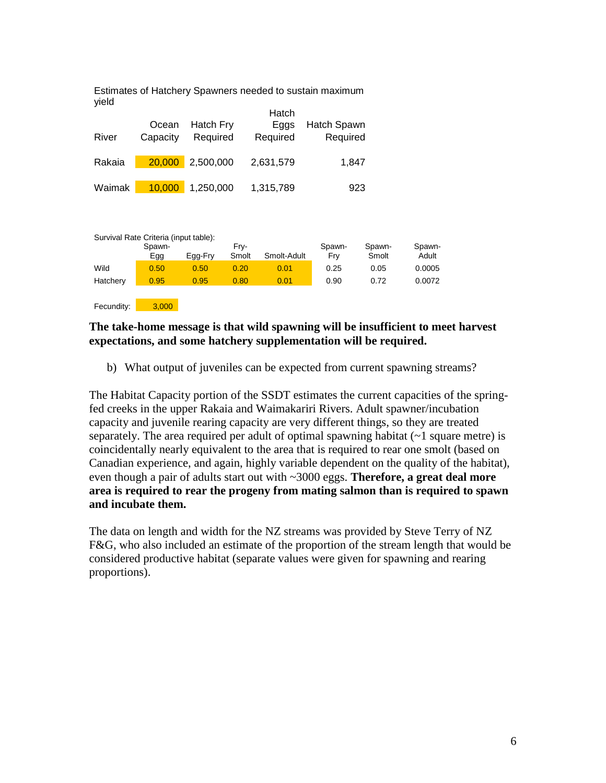Estimates of Hatchery Spawners needed to sustain maximum yield

|        | Ocean    | Hatch Fry | Hatch<br>Eggs | Hatch Spawn |
|--------|----------|-----------|---------------|-------------|
| River  | Capacity | Required  | Required      | Required    |
| Rakaia | 20,000   | 2,500,000 | 2,631,579     | 1,847       |
| Waimak | 10,000   | 1,250,000 | 1,315,789     | 923         |

|            | Survival Rate Criteria (input table): |         |       |             |        |        |        |
|------------|---------------------------------------|---------|-------|-------------|--------|--------|--------|
|            | Spawn-                                |         | Frv-  |             | Spawn- | Spawn- | Spawn- |
|            | Egg                                   | Egg-Fry | Smolt | Smolt-Adult | Fry    | Smolt  | Adult  |
| Wild       | 0.50                                  | 0.50    | 0.20  | 0.01        | 0.25   | 0.05   | 0.0005 |
| Hatchery   | 0.95                                  | 0.95    | 0.80  | 0.01        | 0.90   | 0.72   | 0.0072 |
|            |                                       |         |       |             |        |        |        |
| Fecundity: | 3.000                                 |         |       |             |        |        |        |

## **The take-home message is that wild spawning will be insufficient to meet harvest expectations, and some hatchery supplementation will be required.**

b) What output of juveniles can be expected from current spawning streams?

The Habitat Capacity portion of the SSDT estimates the current capacities of the springfed creeks in the upper Rakaia and Waimakariri Rivers. Adult spawner/incubation capacity and juvenile rearing capacity are very different things, so they are treated separately. The area required per adult of optimal spawning habitat  $(-1)$  square metre) is coincidentally nearly equivalent to the area that is required to rear one smolt (based on Canadian experience, and again, highly variable dependent on the quality of the habitat), even though a pair of adults start out with ~3000 eggs. **Therefore, a great deal more area is required to rear the progeny from mating salmon than is required to spawn and incubate them.** 

The data on length and width for the NZ streams was provided by Steve Terry of NZ F&G, who also included an estimate of the proportion of the stream length that would be considered productive habitat (separate values were given for spawning and rearing proportions).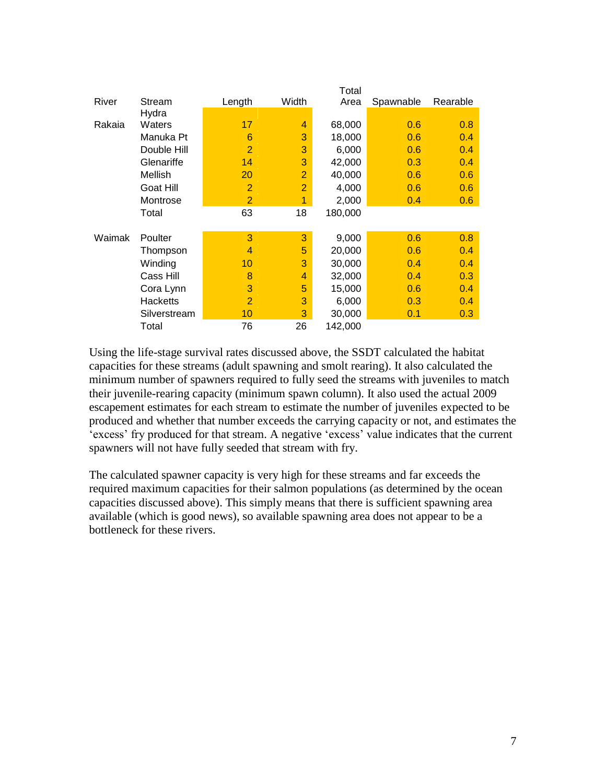|        |                 |                |                | Total   |           |          |
|--------|-----------------|----------------|----------------|---------|-----------|----------|
| River  | Stream          | Length         | Width          | Area    | Spawnable | Rearable |
|        | Hydra           |                |                |         |           |          |
| Rakaia | Waters          | 17             | 4              | 68,000  | 0.6       | 0.8      |
|        | Manuka Pt       | 6              | 3              | 18,000  | 0.6       | 0.4      |
|        | Double Hill     | $\overline{2}$ | 3              | 6,000   | 0.6       | 0.4      |
|        | Glenariffe      | 14             | 3              | 42,000  | 0.3       | 0.4      |
|        | Mellish         | 20             | $\overline{2}$ | 40,000  | 0.6       | 0.6      |
|        | Goat Hill       | $\overline{2}$ | $\overline{2}$ | 4,000   | 0.6       | 0.6      |
|        | Montrose        | $\overline{2}$ | 1              | 2,000   | 0.4       | 0.6      |
|        | Total           | 63             | 18             | 180,000 |           |          |
|        |                 |                |                |         |           |          |
| Waimak | Poulter         | 3              | 3              | 9,000   | 0.6       | 0.8      |
|        | Thompson        | 4              | 5              | 20,000  | 0.6       | 0.4      |
|        | Winding         | 10             | 3              | 30,000  | 0.4       | 0.4      |
|        | Cass Hill       | 8              | 4              | 32,000  | 0.4       | 0.3      |
|        | Cora Lynn       | 3              | 5              | 15,000  | 0.6       | 0.4      |
|        | <b>Hacketts</b> | $\overline{2}$ | 3              | 6,000   | 0.3       | 0.4      |
|        | Silverstream    | 10             | 3              | 30,000  | 0.1       | 0.3      |
|        | Total           | 76             | 26             | 142,000 |           |          |

Using the life-stage survival rates discussed above, the SSDT calculated the habitat capacities for these streams (adult spawning and smolt rearing). It also calculated the minimum number of spawners required to fully seed the streams with juveniles to match their juvenile-rearing capacity (minimum spawn column). It also used the actual 2009 escapement estimates for each stream to estimate the number of juveniles expected to be produced and whether that number exceeds the carrying capacity or not, and estimates the 'excess' fry produced for that stream. A negative 'excess' value indicates that the current spawners will not have fully seeded that stream with fry.

The calculated spawner capacity is very high for these streams and far exceeds the required maximum capacities for their salmon populations (as determined by the ocean capacities discussed above). This simply means that there is sufficient spawning area available (which is good news), so available spawning area does not appear to be a bottleneck for these rivers.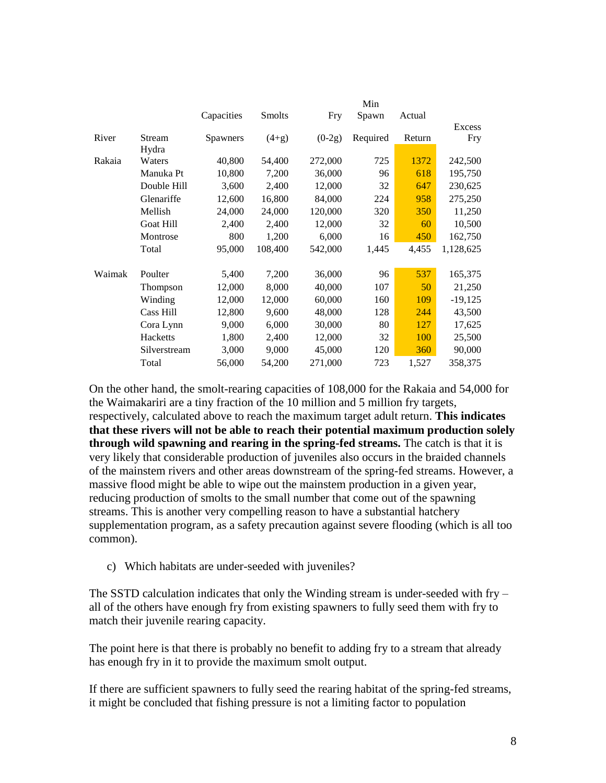|        |              |            |               |          | Min      |            |           |
|--------|--------------|------------|---------------|----------|----------|------------|-----------|
|        |              | Capacities | <b>Smolts</b> | Fry      | Spawn    | Actual     |           |
|        |              |            |               |          |          |            | Excess    |
| River  | Stream       | Spawners   | $(4+g)$       | $(0-2g)$ | Required | Return     | Fry       |
|        | Hydra        |            |               |          |          |            |           |
| Rakaia | Waters       | 40,800     | 54,400        | 272,000  | 725      | 1372       | 242,500   |
|        | Manuka Pt    | 10,800     | 7,200         | 36,000   | 96       | 618        | 195,750   |
|        | Double Hill  | 3,600      | 2,400         | 12,000   | 32       | 647        | 230,625   |
|        | Glenariffe   | 12,600     | 16,800        | 84,000   | 224      | 958        | 275,250   |
|        | Mellish      | 24,000     | 24,000        | 120,000  | 320      | <b>350</b> | 11,250    |
|        | Goat Hill    | 2,400      | 2,400         | 12,000   | 32       | 60         | 10,500    |
|        | Montrose     | 800        | 1,200         | 6,000    | 16       | 450        | 162,750   |
|        | Total        | 95,000     | 108,400       | 542,000  | 1,445    | 4,455      | 1,128,625 |
| Waimak | Poulter      | 5,400      | 7,200         | 36,000   | 96       | 537        | 165,375   |
|        | Thompson     | 12,000     | 8,000         | 40,000   | 107      | 50         | 21,250    |
|        | Winding      | 12,000     | 12,000        | 60,000   | 160      | 109        | $-19,125$ |
|        | Cass Hill    | 12,800     | 9,600         | 48,000   | 128      | 244        | 43,500    |
|        | Cora Lynn    | 9,000      | 6,000         | 30,000   | 80       | 127        | 17,625    |
|        | Hacketts     | 1,800      | 2,400         | 12,000   | 32       | 100        | 25,500    |
|        | Silverstream | 3,000      | 9,000         | 45,000   | 120      | 360        | 90,000    |
|        | Total        | 56,000     | 54,200        | 271,000  | 723      | 1,527      | 358,375   |

On the other hand, the smolt-rearing capacities of 108,000 for the Rakaia and 54,000 for the Waimakariri are a tiny fraction of the 10 million and 5 million fry targets, respectively, calculated above to reach the maximum target adult return. **This indicates that these rivers will not be able to reach their potential maximum production solely through wild spawning and rearing in the spring-fed streams.** The catch is that it is very likely that considerable production of juveniles also occurs in the braided channels of the mainstem rivers and other areas downstream of the spring-fed streams. However, a massive flood might be able to wipe out the mainstem production in a given year, reducing production of smolts to the small number that come out of the spawning streams. This is another very compelling reason to have a substantial hatchery supplementation program, as a safety precaution against severe flooding (which is all too common).

c) Which habitats are under-seeded with juveniles?

The SSTD calculation indicates that only the Winding stream is under-seeded with fry – all of the others have enough fry from existing spawners to fully seed them with fry to match their juvenile rearing capacity.

The point here is that there is probably no benefit to adding fry to a stream that already has enough fry in it to provide the maximum smolt output.

If there are sufficient spawners to fully seed the rearing habitat of the spring-fed streams, it might be concluded that fishing pressure is not a limiting factor to population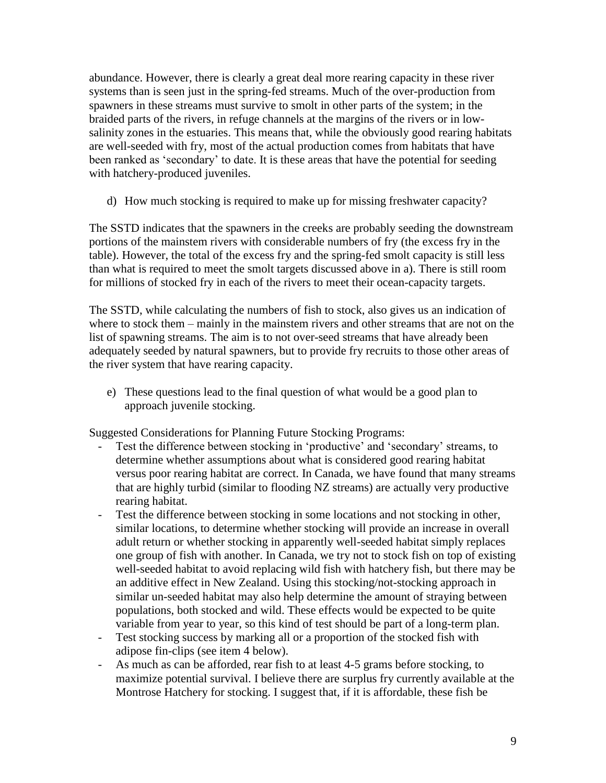abundance. However, there is clearly a great deal more rearing capacity in these river systems than is seen just in the spring-fed streams. Much of the over-production from spawners in these streams must survive to smolt in other parts of the system; in the braided parts of the rivers, in refuge channels at the margins of the rivers or in lowsalinity zones in the estuaries. This means that, while the obviously good rearing habitats are well-seeded with fry, most of the actual production comes from habitats that have been ranked as 'secondary' to date. It is these areas that have the potential for seeding with hatchery-produced juveniles.

d) How much stocking is required to make up for missing freshwater capacity?

The SSTD indicates that the spawners in the creeks are probably seeding the downstream portions of the mainstem rivers with considerable numbers of fry (the excess fry in the table). However, the total of the excess fry and the spring-fed smolt capacity is still less than what is required to meet the smolt targets discussed above in a). There is still room for millions of stocked fry in each of the rivers to meet their ocean-capacity targets.

The SSTD, while calculating the numbers of fish to stock, also gives us an indication of where to stock them – mainly in the mainstem rivers and other streams that are not on the list of spawning streams. The aim is to not over-seed streams that have already been adequately seeded by natural spawners, but to provide fry recruits to those other areas of the river system that have rearing capacity.

e) These questions lead to the final question of what would be a good plan to approach juvenile stocking.

Suggested Considerations for Planning Future Stocking Programs:

- Test the difference between stocking in 'productive' and 'secondary' streams, to determine whether assumptions about what is considered good rearing habitat versus poor rearing habitat are correct. In Canada, we have found that many streams that are highly turbid (similar to flooding NZ streams) are actually very productive rearing habitat.
- Test the difference between stocking in some locations and not stocking in other, similar locations, to determine whether stocking will provide an increase in overall adult return or whether stocking in apparently well-seeded habitat simply replaces one group of fish with another. In Canada, we try not to stock fish on top of existing well-seeded habitat to avoid replacing wild fish with hatchery fish, but there may be an additive effect in New Zealand. Using this stocking/not-stocking approach in similar un-seeded habitat may also help determine the amount of straying between populations, both stocked and wild. These effects would be expected to be quite variable from year to year, so this kind of test should be part of a long-term plan.
- Test stocking success by marking all or a proportion of the stocked fish with adipose fin-clips (see item 4 below).
- As much as can be afforded, rear fish to at least 4-5 grams before stocking, to maximize potential survival. I believe there are surplus fry currently available at the Montrose Hatchery for stocking. I suggest that, if it is affordable, these fish be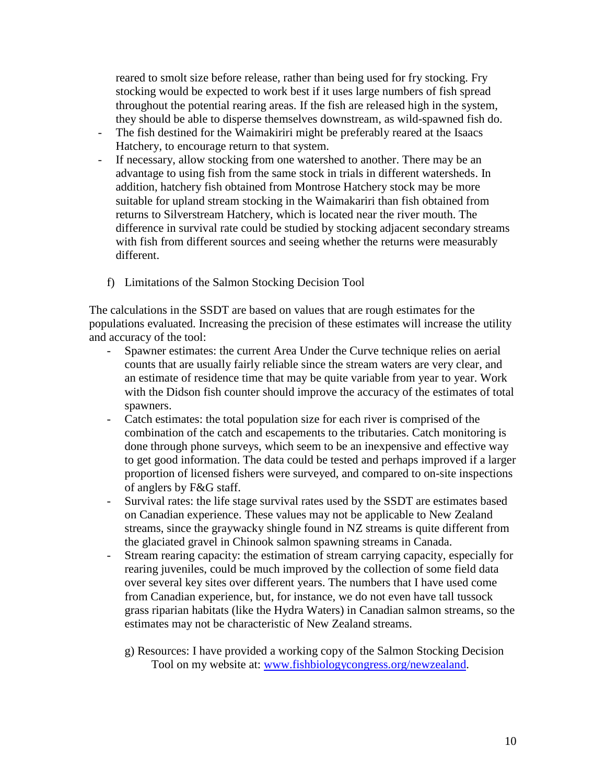reared to smolt size before release, rather than being used for fry stocking. Fry stocking would be expected to work best if it uses large numbers of fish spread throughout the potential rearing areas. If the fish are released high in the system, they should be able to disperse themselves downstream, as wild-spawned fish do.

- The fish destined for the Waimakiriri might be preferably reared at the Isaacs Hatchery, to encourage return to that system.
- If necessary, allow stocking from one watershed to another. There may be an advantage to using fish from the same stock in trials in different watersheds. In addition, hatchery fish obtained from Montrose Hatchery stock may be more suitable for upland stream stocking in the Waimakariri than fish obtained from returns to Silverstream Hatchery, which is located near the river mouth. The difference in survival rate could be studied by stocking adjacent secondary streams with fish from different sources and seeing whether the returns were measurably different.
	- f) Limitations of the Salmon Stocking Decision Tool

The calculations in the SSDT are based on values that are rough estimates for the populations evaluated. Increasing the precision of these estimates will increase the utility and accuracy of the tool:

- Spawner estimates: the current Area Under the Curve technique relies on aerial counts that are usually fairly reliable since the stream waters are very clear, and an estimate of residence time that may be quite variable from year to year. Work with the Didson fish counter should improve the accuracy of the estimates of total spawners.
- Catch estimates: the total population size for each river is comprised of the combination of the catch and escapements to the tributaries. Catch monitoring is done through phone surveys, which seem to be an inexpensive and effective way to get good information. The data could be tested and perhaps improved if a larger proportion of licensed fishers were surveyed, and compared to on-site inspections of anglers by F&G staff.
- Survival rates: the life stage survival rates used by the SSDT are estimates based on Canadian experience. These values may not be applicable to New Zealand streams, since the graywacky shingle found in NZ streams is quite different from the glaciated gravel in Chinook salmon spawning streams in Canada.
- Stream rearing capacity: the estimation of stream carrying capacity, especially for rearing juveniles, could be much improved by the collection of some field data over several key sites over different years. The numbers that I have used come from Canadian experience, but, for instance, we do not even have tall tussock grass riparian habitats (like the Hydra Waters) in Canadian salmon streams, so the estimates may not be characteristic of New Zealand streams.
	- g) Resources: I have provided a working copy of the Salmon Stocking Decision Tool on my website at: [www.fishbiologycongress.org/newzealand.](http://www.fishbiologycongress.org/nz)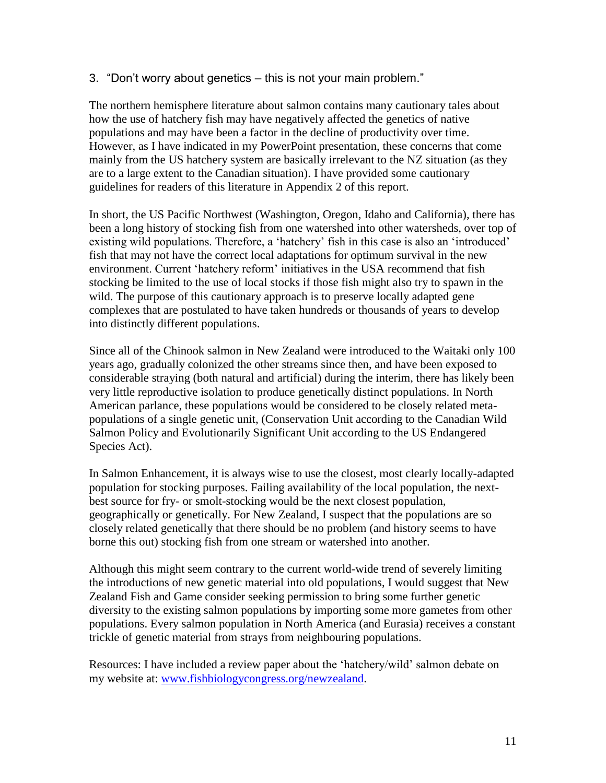3. "Don't worry about genetics – this is not your main problem."

The northern hemisphere literature about salmon contains many cautionary tales about how the use of hatchery fish may have negatively affected the genetics of native populations and may have been a factor in the decline of productivity over time. However, as I have indicated in my PowerPoint presentation, these concerns that come mainly from the US hatchery system are basically irrelevant to the NZ situation (as they are to a large extent to the Canadian situation). I have provided some cautionary guidelines for readers of this literature in Appendix 2 of this report.

In short, the US Pacific Northwest (Washington, Oregon, Idaho and California), there has been a long history of stocking fish from one watershed into other watersheds, over top of existing wild populations. Therefore, a 'hatchery' fish in this case is also an 'introduced' fish that may not have the correct local adaptations for optimum survival in the new environment. Current 'hatchery reform' initiatives in the USA recommend that fish stocking be limited to the use of local stocks if those fish might also try to spawn in the wild. The purpose of this cautionary approach is to preserve locally adapted gene complexes that are postulated to have taken hundreds or thousands of years to develop into distinctly different populations.

Since all of the Chinook salmon in New Zealand were introduced to the Waitaki only 100 years ago, gradually colonized the other streams since then, and have been exposed to considerable straying (both natural and artificial) during the interim, there has likely been very little reproductive isolation to produce genetically distinct populations. In North American parlance, these populations would be considered to be closely related metapopulations of a single genetic unit, (Conservation Unit according to the Canadian Wild Salmon Policy and Evolutionarily Significant Unit according to the US Endangered Species Act).

In Salmon Enhancement, it is always wise to use the closest, most clearly locally-adapted population for stocking purposes. Failing availability of the local population, the nextbest source for fry- or smolt-stocking would be the next closest population, geographically or genetically. For New Zealand, I suspect that the populations are so closely related genetically that there should be no problem (and history seems to have borne this out) stocking fish from one stream or watershed into another.

Although this might seem contrary to the current world-wide trend of severely limiting the introductions of new genetic material into old populations, I would suggest that New Zealand Fish and Game consider seeking permission to bring some further genetic diversity to the existing salmon populations by importing some more gametes from other populations. Every salmon population in North America (and Eurasia) receives a constant trickle of genetic material from strays from neighbouring populations.

Resources: I have included a review paper about the 'hatchery/wild' salmon debate on my website at: [www.fishbiologycongress.org/newzealand.](http://www.fishbiologycongress.org/nz)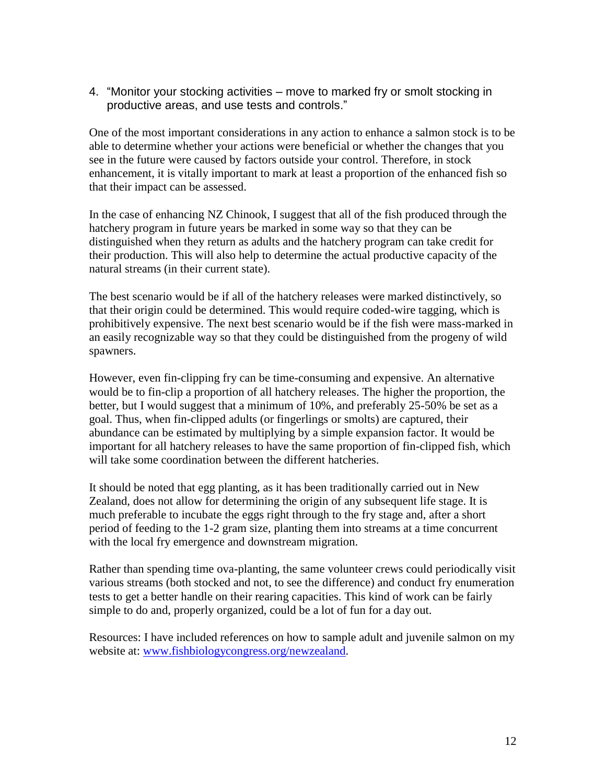4. "Monitor your stocking activities – move to marked fry or smolt stocking in productive areas, and use tests and controls."

One of the most important considerations in any action to enhance a salmon stock is to be able to determine whether your actions were beneficial or whether the changes that you see in the future were caused by factors outside your control. Therefore, in stock enhancement, it is vitally important to mark at least a proportion of the enhanced fish so that their impact can be assessed.

In the case of enhancing NZ Chinook, I suggest that all of the fish produced through the hatchery program in future years be marked in some way so that they can be distinguished when they return as adults and the hatchery program can take credit for their production. This will also help to determine the actual productive capacity of the natural streams (in their current state).

The best scenario would be if all of the hatchery releases were marked distinctively, so that their origin could be determined. This would require coded-wire tagging, which is prohibitively expensive. The next best scenario would be if the fish were mass-marked in an easily recognizable way so that they could be distinguished from the progeny of wild spawners.

However, even fin-clipping fry can be time-consuming and expensive. An alternative would be to fin-clip a proportion of all hatchery releases. The higher the proportion, the better, but I would suggest that a minimum of 10%, and preferably 25-50% be set as a goal. Thus, when fin-clipped adults (or fingerlings or smolts) are captured, their abundance can be estimated by multiplying by a simple expansion factor. It would be important for all hatchery releases to have the same proportion of fin-clipped fish, which will take some coordination between the different hatcheries.

It should be noted that egg planting, as it has been traditionally carried out in New Zealand, does not allow for determining the origin of any subsequent life stage. It is much preferable to incubate the eggs right through to the fry stage and, after a short period of feeding to the 1-2 gram size, planting them into streams at a time concurrent with the local fry emergence and downstream migration.

Rather than spending time ova-planting, the same volunteer crews could periodically visit various streams (both stocked and not, to see the difference) and conduct fry enumeration tests to get a better handle on their rearing capacities. This kind of work can be fairly simple to do and, properly organized, could be a lot of fun for a day out.

Resources: I have included references on how to sample adult and juvenile salmon on my website at: [www.fishbiologycongress.org/newzealand.](http://www.fishbiologycongress.org/nz)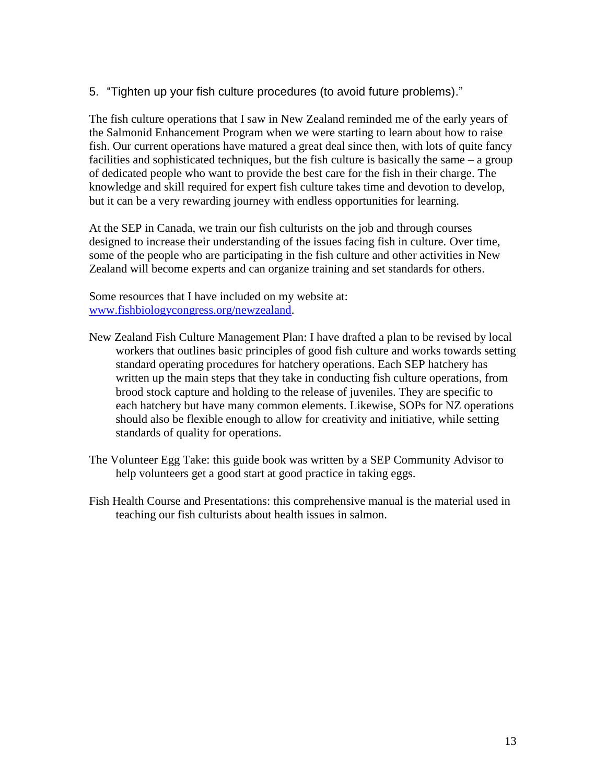5. "Tighten up your fish culture procedures (to avoid future problems)."

The fish culture operations that I saw in New Zealand reminded me of the early years of the Salmonid Enhancement Program when we were starting to learn about how to raise fish. Our current operations have matured a great deal since then, with lots of quite fancy facilities and sophisticated techniques, but the fish culture is basically the same – a group of dedicated people who want to provide the best care for the fish in their charge. The knowledge and skill required for expert fish culture takes time and devotion to develop, but it can be a very rewarding journey with endless opportunities for learning.

At the SEP in Canada, we train our fish culturists on the job and through courses designed to increase their understanding of the issues facing fish in culture. Over time, some of the people who are participating in the fish culture and other activities in New Zealand will become experts and can organize training and set standards for others.

Some resources that I have included on my website at: [www.fishbiologycongress.org/newzealand.](http://www.fishbiologycongress.org/nz)

- New Zealand Fish Culture Management Plan: I have drafted a plan to be revised by local workers that outlines basic principles of good fish culture and works towards setting standard operating procedures for hatchery operations. Each SEP hatchery has written up the main steps that they take in conducting fish culture operations, from brood stock capture and holding to the release of juveniles. They are specific to each hatchery but have many common elements. Likewise, SOPs for NZ operations should also be flexible enough to allow for creativity and initiative, while setting standards of quality for operations.
- The Volunteer Egg Take: this guide book was written by a SEP Community Advisor to help volunteers get a good start at good practice in taking eggs.
- Fish Health Course and Presentations: this comprehensive manual is the material used in teaching our fish culturists about health issues in salmon.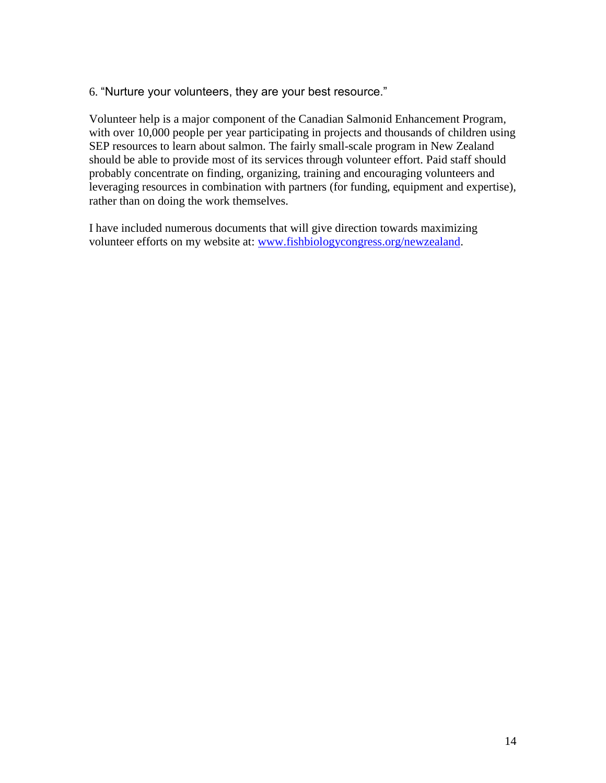#### 6. "Nurture your volunteers, they are your best resource."

Volunteer help is a major component of the Canadian Salmonid Enhancement Program, with over 10,000 people per year participating in projects and thousands of children using SEP resources to learn about salmon. The fairly small-scale program in New Zealand should be able to provide most of its services through volunteer effort. Paid staff should probably concentrate on finding, organizing, training and encouraging volunteers and leveraging resources in combination with partners (for funding, equipment and expertise), rather than on doing the work themselves.

I have included numerous documents that will give direction towards maximizing volunteer efforts on my website at: [www.fishbiologycongress.org/newzealand.](http://www.fishbiologycongress.org/nz)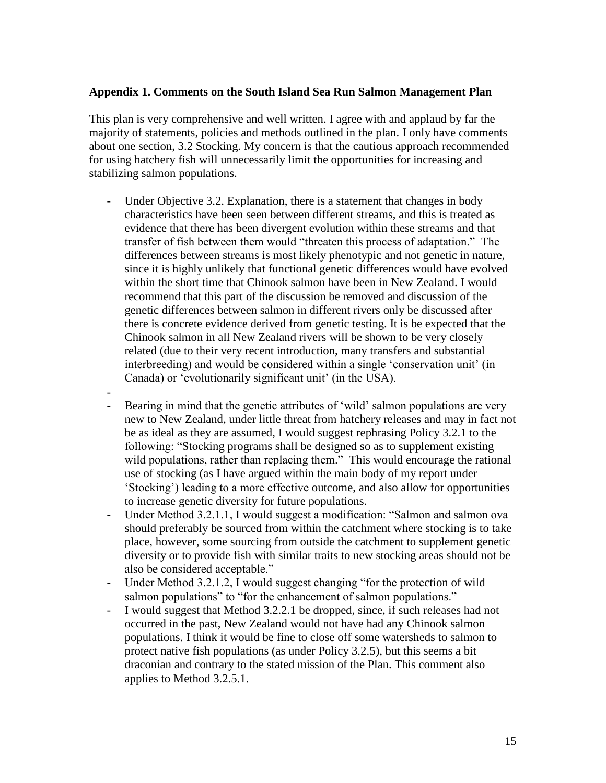#### **Appendix 1. Comments on the South Island Sea Run Salmon Management Plan**

This plan is very comprehensive and well written. I agree with and applaud by far the majority of statements, policies and methods outlined in the plan. I only have comments about one section, 3.2 Stocking. My concern is that the cautious approach recommended for using hatchery fish will unnecessarily limit the opportunities for increasing and stabilizing salmon populations.

- Under Objective 3.2. Explanation, there is a statement that changes in body characteristics have been seen between different streams, and this is treated as evidence that there has been divergent evolution within these streams and that transfer of fish between them would "threaten this process of adaptation." The differences between streams is most likely phenotypic and not genetic in nature, since it is highly unlikely that functional genetic differences would have evolved within the short time that Chinook salmon have been in New Zealand. I would recommend that this part of the discussion be removed and discussion of the genetic differences between salmon in different rivers only be discussed after there is concrete evidence derived from genetic testing. It is be expected that the Chinook salmon in all New Zealand rivers will be shown to be very closely related (due to their very recent introduction, many transfers and substantial interbreeding) and would be considered within a single 'conservation unit' (in Canada) or 'evolutionarily significant unit' (in the USA).
- Bearing in mind that the genetic attributes of 'wild' salmon populations are very new to New Zealand, under little threat from hatchery releases and may in fact not be as ideal as they are assumed, I would suggest rephrasing Policy 3.2.1 to the following: "Stocking programs shall be designed so as to supplement existing wild populations, rather than replacing them." This would encourage the rational use of stocking (as I have argued within the main body of my report under 'Stocking') leading to a more effective outcome, and also allow for opportunities to increase genetic diversity for future populations.
- Under Method 3.2.1.1, I would suggest a modification: "Salmon and salmon ova should preferably be sourced from within the catchment where stocking is to take place, however, some sourcing from outside the catchment to supplement genetic diversity or to provide fish with similar traits to new stocking areas should not be also be considered acceptable."
- Under Method 3.2.1.2, I would suggest changing "for the protection of wild salmon populations" to "for the enhancement of salmon populations."
- I would suggest that Method 3.2.2.1 be dropped, since, if such releases had not occurred in the past, New Zealand would not have had any Chinook salmon populations. I think it would be fine to close off some watersheds to salmon to protect native fish populations (as under Policy 3.2.5), but this seems a bit draconian and contrary to the stated mission of the Plan. This comment also applies to Method 3.2.5.1.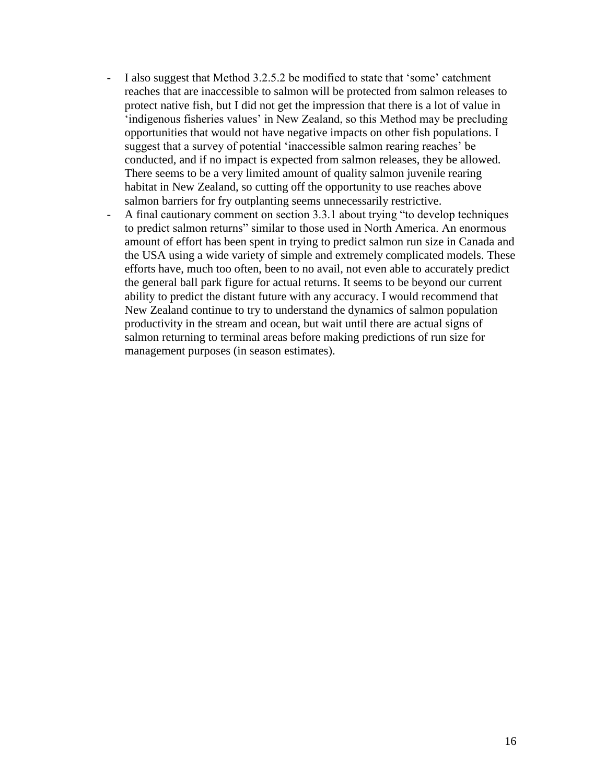- I also suggest that Method 3.2.5.2 be modified to state that 'some' catchment reaches that are inaccessible to salmon will be protected from salmon releases to protect native fish, but I did not get the impression that there is a lot of value in 'indigenous fisheries values' in New Zealand, so this Method may be precluding opportunities that would not have negative impacts on other fish populations. I suggest that a survey of potential 'inaccessible salmon rearing reaches' be conducted, and if no impact is expected from salmon releases, they be allowed. There seems to be a very limited amount of quality salmon juvenile rearing habitat in New Zealand, so cutting off the opportunity to use reaches above salmon barriers for fry outplanting seems unnecessarily restrictive.
- A final cautionary comment on section 3.3.1 about trying "to develop techniques to predict salmon returns" similar to those used in North America. An enormous amount of effort has been spent in trying to predict salmon run size in Canada and the USA using a wide variety of simple and extremely complicated models. These efforts have, much too often, been to no avail, not even able to accurately predict the general ball park figure for actual returns. It seems to be beyond our current ability to predict the distant future with any accuracy. I would recommend that New Zealand continue to try to understand the dynamics of salmon population productivity in the stream and ocean, but wait until there are actual signs of salmon returning to terminal areas before making predictions of run size for management purposes (in season estimates).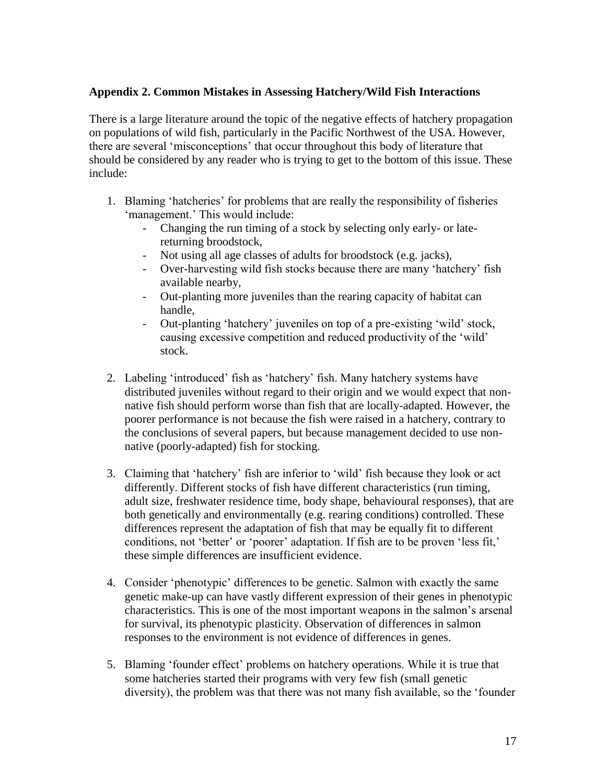## **Appendix 2. Common Mistakes in Assessing Hatchery/Wild Fish Interactions**

There is a large literature around the topic of the negative effects of hatchery propagation on populations of wild fish, particularly in the Pacific Northwest of the USA. However, there are several 'misconceptions' that occur throughout this body of literature that should be considered by any reader who is trying to get to the bottom of this issue. These include:

- 1. Blaming 'hatcheries' for problems that are really the responsibility of fisheries 'management.' This would include:
	- Changing the run timing of a stock by selecting only early- or latereturning broodstock,
	- Not using all age classes of adults for broodstock (e.g. jacks),
	- Over-harvesting wild fish stocks because there are many 'hatchery' fish available nearby,
	- Out-planting more juveniles than the rearing capacity of habitat can handle,
	- Out-planting 'hatchery' juveniles on top of a pre-existing 'wild' stock, causing excessive competition and reduced productivity of the 'wild' stock.
- 2. Labeling 'introduced' fish as 'hatchery' fish. Many hatchery systems have distributed juveniles without regard to their origin and we would expect that nonnative fish should perform worse than fish that are locally-adapted. However, the poorer performance is not because the fish were raised in a hatchery, contrary to the conclusions of several papers, but because management decided to use nonnative (poorly-adapted) fish for stocking.
- 3. Claiming that 'hatchery' fish are inferior to 'wild' fish because they look or act differently. Different stocks of fish have different characteristics (run timing, adult size, freshwater residence time, body shape, behavioural responses), that are both genetically and environmentally (e.g. rearing conditions) controlled. These differences represent the adaptation of fish that may be equally fit to different conditions, not 'better' or 'poorer' adaptation. If fish are to be proven 'less fit,' these simple differences are insufficient evidence.
- 4. Consider 'phenotypic' differences to be genetic. Salmon with exactly the same genetic make-up can have vastly different expression of their genes in phenotypic characteristics. This is one of the most important weapons in the salmon's arsenal for survival, its phenotypic plasticity. Observation of differences in salmon responses to the environment is not evidence of differences in genes.
- 5. Blaming 'founder effect' problems on hatchery operations. While it is true that some hatcheries started their programs with very few fish (small genetic diversity), the problem was that there was not many fish available, so the 'founder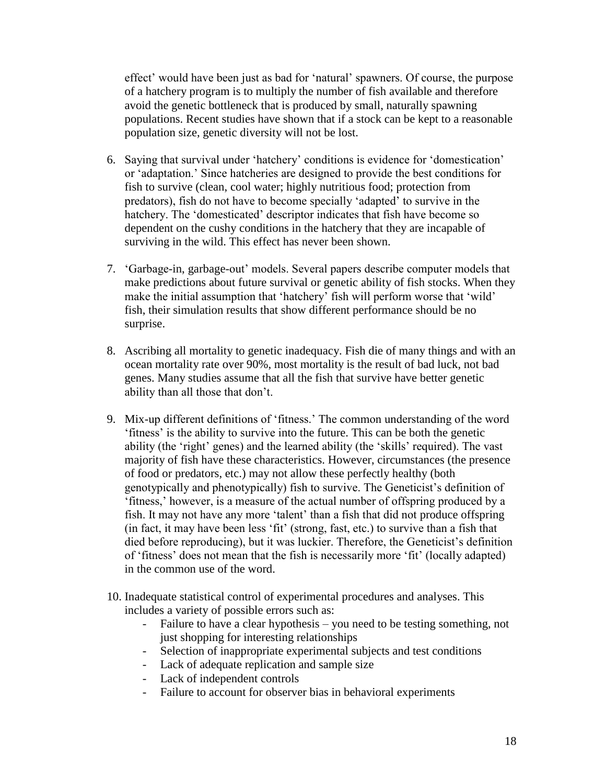effect' would have been just as bad for 'natural' spawners. Of course, the purpose of a hatchery program is to multiply the number of fish available and therefore avoid the genetic bottleneck that is produced by small, naturally spawning populations. Recent studies have shown that if a stock can be kept to a reasonable population size, genetic diversity will not be lost.

- 6. Saying that survival under 'hatchery' conditions is evidence for 'domestication' or 'adaptation.' Since hatcheries are designed to provide the best conditions for fish to survive (clean, cool water; highly nutritious food; protection from predators), fish do not have to become specially 'adapted' to survive in the hatchery. The 'domesticated' descriptor indicates that fish have become so dependent on the cushy conditions in the hatchery that they are incapable of surviving in the wild. This effect has never been shown.
- 7. 'Garbage-in, garbage-out' models. Several papers describe computer models that make predictions about future survival or genetic ability of fish stocks. When they make the initial assumption that 'hatchery' fish will perform worse that 'wild' fish, their simulation results that show different performance should be no surprise.
- 8. Ascribing all mortality to genetic inadequacy. Fish die of many things and with an ocean mortality rate over 90%, most mortality is the result of bad luck, not bad genes. Many studies assume that all the fish that survive have better genetic ability than all those that don't.
- 9. Mix-up different definitions of 'fitness.' The common understanding of the word 'fitness' is the ability to survive into the future. This can be both the genetic ability (the 'right' genes) and the learned ability (the 'skills' required). The vast majority of fish have these characteristics. However, circumstances (the presence of food or predators, etc.) may not allow these perfectly healthy (both genotypically and phenotypically) fish to survive. The Geneticist's definition of 'fitness,' however, is a measure of the actual number of offspring produced by a fish. It may not have any more 'talent' than a fish that did not produce offspring (in fact, it may have been less 'fit' (strong, fast, etc.) to survive than a fish that died before reproducing), but it was luckier. Therefore, the Geneticist's definition of 'fitness' does not mean that the fish is necessarily more 'fit' (locally adapted) in the common use of the word.
- 10. Inadequate statistical control of experimental procedures and analyses. This includes a variety of possible errors such as:
	- Failure to have a clear hypothesis you need to be testing something, not just shopping for interesting relationships
	- Selection of inappropriate experimental subjects and test conditions
	- Lack of adequate replication and sample size
	- Lack of independent controls
	- Failure to account for observer bias in behavioral experiments